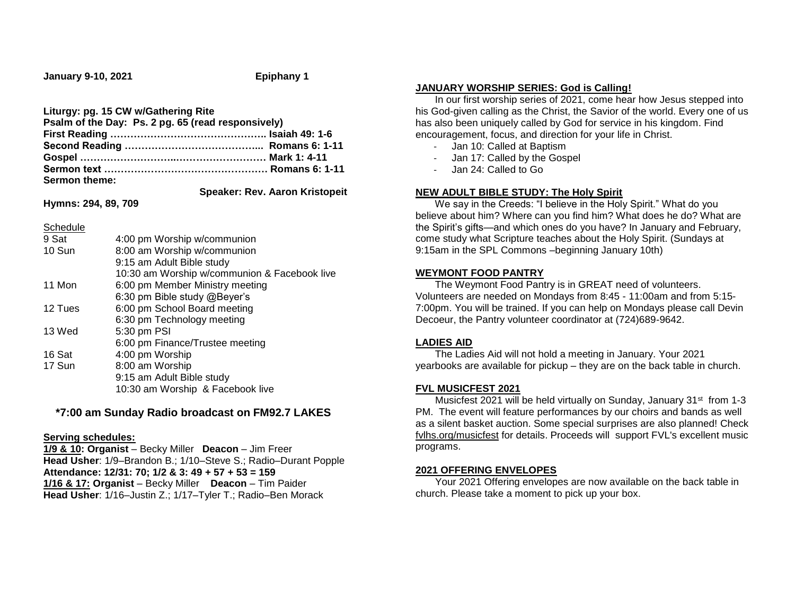**January 9-10, 2021 Epiphany 1**

#### **Liturgy: pg. 15 CW w/Gathering Rite**

| Psalm of the Day: Ps. 2 pg. 65 (read responsively) |  |
|----------------------------------------------------|--|
|                                                    |  |
|                                                    |  |
|                                                    |  |
|                                                    |  |
| Sermon theme:                                      |  |

 **Speaker: Rev. Aaron Kristopeit**

# **Hymns: 294, 89, 709**

Schedule

| -------- |                                              |  |  |
|----------|----------------------------------------------|--|--|
| 9 Sat    | 4:00 pm Worship w/communion                  |  |  |
| 10 Sun   | 8:00 am Worship w/communion                  |  |  |
|          | 9:15 am Adult Bible study                    |  |  |
|          | 10:30 am Worship w/communion & Facebook live |  |  |
| 11 Mon   | 6:00 pm Member Ministry meeting              |  |  |
|          | 6:30 pm Bible study @Beyer's                 |  |  |
| 12 Tues  | 6:00 pm School Board meeting                 |  |  |
|          | 6:30 pm Technology meeting                   |  |  |
| 13 Wed   | 5:30 pm PSI                                  |  |  |
|          | 6:00 pm Finance/Trustee meeting              |  |  |
| 16 Sat   | 4:00 pm Worship                              |  |  |
| 17 Sun   | 8:00 am Worship                              |  |  |
|          | 9:15 am Adult Bible study                    |  |  |
|          | 10:30 am Worship & Facebook live             |  |  |
|          |                                              |  |  |

## **\*7:00 am Sunday Radio broadcast on FM92.7 LAKES**

## **Serving schedules:**

**1/9 & 10: Organist** – Becky Miller **Deacon** – Jim Freer **Head Usher**: 1/9–Brandon B.; 1/10–Steve S.; Radio–Durant Popple **Attendance: 12/31: 70; 1/2 & 3: 49 + 57 + 53 = 159 1/16 & 17: Organist** – Becky Miller **Deacon** – Tim Paider **Head Usher**: 1/16–Justin Z.; 1/17–Tyler T.; Radio–Ben Morack

#### **JANUARY WORSHIP SERIES: God is Calling!**

 In our first worship series of 2021, come hear how Jesus stepped into his God-given calling as the Christ, the Savior of the world. Every one of us has also been uniquely called by God for service in his kingdom. Find encouragement, focus, and direction for your life in Christ.

- Jan 10: Called at Baptism
- Jan 17: Called by the Gospel
- Jan 24: Called to Go

## **NEW ADULT BIBLE STUDY: The Holy Spirit**

 We say in the Creeds: "I believe in the Holy Spirit." What do you believe about him? Where can you find him? What does he do? What are the Spirit's gifts—and which ones do you have? In January and February, come study what Scripture teaches about the Holy Spirit. (Sundays at 9:15am in the SPL Commons –beginning January 10th)

## **WEYMONT FOOD PANTRY**

 The Weymont Food Pantry is in GREAT need of volunteers. Volunteers are needed on Mondays from 8:45 - 11:00am and from 5:15- 7:00pm. You will be trained. If you can help on Mondays please call Devin Decoeur, the Pantry volunteer coordinator at (724)689-9642.

## **LADIES AID**

 The Ladies Aid will not hold a meeting in January. Your 2021 yearbooks are available for pickup – they are on the back table in church.

## **FVL MUSICFEST 2021**

Musicfest 2021 will be held virtually on Sunday, January 31<sup>st</sup> from 1-3 PM. The event will feature performances by our choirs and bands as well as a silent basket auction. Some special surprises are also planned! Check [fvlhs.org/musicfest](https://linkprotect.cudasvc.com/url?a=http%3a%2f%2femail.fvlhsorg.myenotice.com%2fc%2feJwdjkFuxCAQBF9jjmgG8GIOHBJl9xsrFoONBNgyk6Dk9SGR-tKXqlqtDs4ZYMWlnOr2TKs1N5asAIGAMKOSCMCRLyjVXT3uH--zkRrEpCB-5b0d18bLd6gHJR-4PwrbrVpeq1c6xqijw9sSXxLReDd7ARK9YdnuROck3ybxGOu9838YH7Txy2dLPoZGzB-VnKe_LARt2GUbP6-Uc0_0MxLamXvYHK-BGNlhL-1ZXHVbuH4BNbFGBQ&c=E,1,fXnZt_iDF1LVT8h84JTkFJvTu0eeisWSJdgkFjLd8RvEkpt9PFYO3oE2IzOFZShvlOnDt1WnXkwP2yepzYvXLgk7dnlCprcnWm-YweUHpb-PDqu8wKrYnw,,&typo=1) for details. Proceeds will support FVL's excellent music programs.

## **2021 OFFERING ENVELOPES**

 Your 2021 Offering envelopes are now available on the back table in church. Please take a moment to pick up your box.